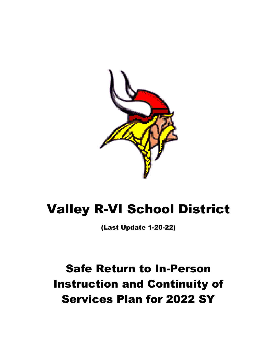

# Valley R-VI School District

(Last Update 1-20-22)

# Safe Return to In-Person Instruction and Continuity of Services Plan for 2022 SY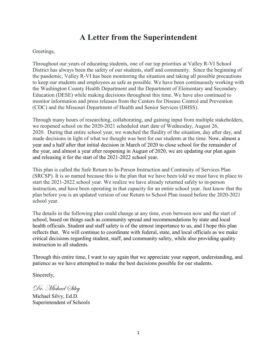# **A Letter from the Superintendent**

### Greetings,

Throughout our years of educating students, one of our top priorities at Valley R-VI School District has always been the safety of our students, staff and community. Since the beginning of the pandemic, Valley R-VI has been monitoring the situation and taking all possible precautions to keep our students and employees as safe as possible. We have been continuously working with the Washington County Health Department and the Department of Elementary and Secondary Education (DESE) while making decisions throughout this time. We have also continued to monitor information and press releases from the Centers for Disease Control and Prevention (CDC) and the Missouri Department of Health and Senior Services (DHSS).

Through many hours of researching, collaborating, and gaining input from multiple stakeholders, we reopened school on the 2020-2021 scheduled start date of Wednesday, August 26, 2020. During that entire school year, we watched the fluidity of the situation, day after day, and made decisions in light of what we thought was best for our students at the time. Now, almost a year and a half after that initial decision in March of 2020 to close school for the remainder of the year, and almost a year after reopening in August of 2020, we are updating our plan again and releasing it for the start of the 2021-2022 school year.

This plan is called the Safe Return to In-Person Instruction and Continuity of Services Plan (SRCSP). It is so named because this is the plan that we have been told we must have in place to start the 2021-2022 school year. We realize we have already returned safely to in-person instruction, and have been operating in that capacity for an entire school year. Just know that the plan before you is an updated version of our Return to School Plan issued before the 2020-2021 school year.

The details in the following plan could change at any time, even between now and the start of school, based on things such as community spread and recommendations by state and local health officials. Student and staff safety is of the utmost importance to us, and I hope this plan reflects that. We will continue to coordinate with federal, state, and local officials as we make critical decisions regarding student, staff, and community safety, while also providing quality instruction to all students.

Through this entire time, I want to say again that we appreciate your support, understanding, and patience as we have attempted to make the best decisions possible for our students.

Sincerely,

Dr. Michael Silvy

Michael Silvy, Ed.D. Superintendent of Schools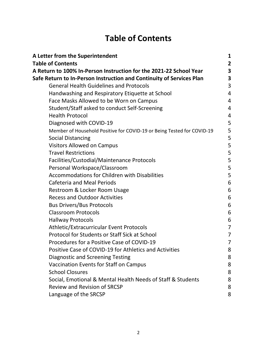# **Table of Contents**

| A Letter from the Superintendent                                       | 1              |
|------------------------------------------------------------------------|----------------|
| <b>Table of Contents</b>                                               | 2              |
| A Return to 100% In-Person Instruction for the 2021-22 School Year     | 3              |
| Safe Return to In-Person Instruction and Continuity of Services Plan   | 3              |
| <b>General Health Guidelines and Protocols</b>                         | 3              |
| Handwashing and Respiratory Etiquette at School                        | 4              |
| Face Masks Allowed to be Worn on Campus                                | 4              |
| Student/Staff asked to conduct Self-Screening                          | 4              |
| <b>Health Protocol</b>                                                 | 4              |
| Diagnosed with COVID-19                                                | 5              |
| Member of Household Positive for COVID-19 or Being Tested for COVID-19 | 5              |
| <b>Social Distancing</b>                                               | 5              |
| <b>Visitors Allowed on Campus</b>                                      | 5              |
| <b>Travel Restrictions</b>                                             | 5              |
| Facilities/Custodial/Maintenance Protocols                             | 5              |
| Personal Workspace/Classroom                                           | 5              |
| <b>Accommodations for Children with Disabilities</b>                   | 5              |
| <b>Cafeteria and Meal Periods</b>                                      | 6              |
| Restroom & Locker Room Usage                                           | 6              |
| <b>Recess and Outdoor Activities</b>                                   | 6              |
| <b>Bus Drivers/Bus Protocols</b>                                       | 6              |
| <b>Classroom Protocols</b>                                             | 6              |
| <b>Hallway Protocols</b>                                               | 6              |
| Athletic/Extracurricular Event Protocols                               | $\overline{7}$ |
| <b>Protocol for Students or Staff Sick at School</b>                   | 7              |
| Procedures for a Positive Case of COVID-19                             | $\overline{7}$ |
| Positive Case of COVID-19 for Athletics and Activities                 | 8              |
| <b>Diagnostic and Screening Testing</b>                                | 8              |
| Vaccination Events for Staff on Campus                                 | 8              |
| <b>School Closures</b>                                                 | 8              |
| Social, Emotional & Mental Health Needs of Staff & Students            | 8              |
| <b>Review and Revision of SRCSP</b>                                    | 8              |
| Language of the SRCSP                                                  | 8              |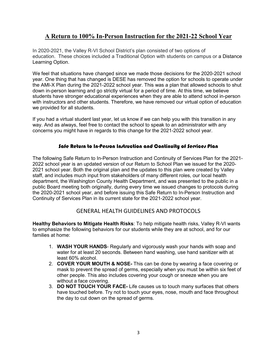## **A Return to 100% In-Person Instruction for the 2021-22 School Year**

In 2020-2021, the Valley R-VI School District's plan consisted of two options of education. These choices included a Traditional Option with students on campus or a Distance Learning Option.

We feel that situations have changed since we made those decisions for the 2020-2021 school year. One thing that has changed is DESE has removed the option for schools to operate under the AMI-X Plan during the 2021-2022 school year. This was a plan that allowed schools to shut down in-person learning and go strictly virtual for a period of time. At this time, we believe students have stronger educational experiences when they are able to attend school in-person with instructors and other students. Therefore, we have removed our virtual option of education we provided for all students.

If you had a virtual student last year, let us know if we can help you with this transition in any way. And as always, feel free to contact the school to speak to an administrator with any concerns you might have in regards to this change for the 2021-2022 school year.

### Safe Return to In-Person Instruction and Continuity of Services Plan

The following Safe Return to In-Person Instruction and Continuity of Services Plan for the 2021- 2022 school year is an updated version of our Return to School Plan we issued for the 2020- 2021 school year. Both the original plan and the updates to this plan were created by Valley staff, and includes much input from stakeholders of many different roles, our local health department, the Washington County Health Department, and was presented to the public in a public Board meeting both originally, during every time we issued changes to protocols during the 2020-2021 school year, and before issuing this Safe Return to In-Person Instruction and Continuity of Services Plan in its current state for the 2021-2022 school year.

## GENERAL HEALTH GUIDELINES AND PROTOCOLS

**Healthy Behaviors to Mitigate Health Risks**: To help mitigate health risks, Valley R-VI wants to emphasize the following behaviors for our students while they are at school, and for our families at home:

- 1. **WASH YOUR HANDS** Regularly and vigorously wash your hands with soap and water for at least 20 seconds. Between hand washing, use hand sanitizer with at least 60% alcohol.
- 2. **COVER YOUR MOUTH & NOSE-** This can be done by wearing a face covering or mask to prevent the spread of germs, especially when you must be within six feet of other people. This also includes covering your cough or sneeze when you are without a face covering.
- 3. **DO NOT TOUCH YOUR FACE-** Life causes us to touch many surfaces that others have touched before. Try not to touch your eyes, nose, mouth and face throughout the day to cut down on the spread of germs.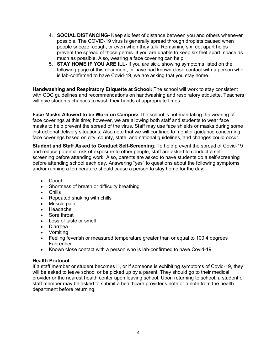- 4. **SOCIAL DISTANCING-** Keep six feet of distance between you and others whenever possible. The COVID-19 virus is generally spread through droplets caused when people sneeze, cough, or even when they talk. Remaining six feet apart helps prevent the spread of those germs. If you are unable to keep six feet apart, space as much as possible. Also, wearing a face covering can help.
- 5. **STAY HOME IF YOU ARE ILL-** If you are sick, showing symptoms listed on the following page of this document, or have had known close contact with a person who is lab-confirmed to have Covid-19, we are asking that you stay home.

**Handwashing and Respiratory Etiquette at School:** The school will work to stay consistent with CDC guidelines and recommendations on handwashing and respiratory etiquette. Teachers will give students chances to wash their hands at appropriate times.

**Face Masks Allowed to be Worn on Campus:** The school is not mandating the wearing of face coverings at this time; however, we are allowing both staff and students to wear face masks to help prevent the spread of the virus. Staff may use face shields or masks during some instructional delivery situations. Also note that we will continue to monitor guidance concerning face coverings based on city, county, state, and national guidelines, and changes could occur.

**Student and Staff Asked to Conduct Self-Screening**: To help prevent the spread of Covid-19 and reduce potential risk of exposure to other people, staff are asked to conduct a selfscreening before attending work. Also, parents are asked to have students do a self-screening before attending school each day. Answering "yes" to questions about the following symptoms and/or running a temperature should cause a person to stay home for the day:

- Cough
- Shortness of breath or difficulty breathing
- Chills
- Repeated shaking with chills
- Muscle pain
- Headache
- Sore throat
- Loss of taste or smell
- Diarrhea
- Vomiting
- Feeling feverish or measured temperature greater than or equal to 100.4 degrees **Fahrenheit**
- Known close contact with a person who is lab-confirmed to have Covid-19.

#### **Health Protocol:**

If a staff member or student becomes ill, or if someone is exhibiting symptoms of Covid-19, they will be asked to leave school or be picked up by a parent. They should go to their medical provider or the nearest health center upon leaving school. Upon returning to school, a student or staff member may be asked to submit a healthcare provider's note or a note from the health department before returning.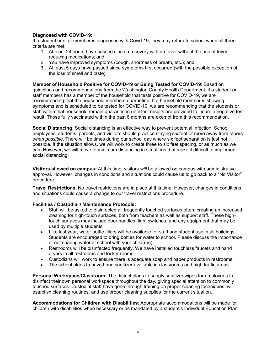#### **Diagnosed with COVID-19:**

If a student or staff member is diagnosed with Covid-19, they may return to school when all three criteria are met:

- 1. At least 24 hours have passed since a recovery with no fever without the use of fever reducing medications; and
- 2. You have improved symptoms (cough, shortness of breath, etc.); and
- 3. At least 5 days have passed since symptoms first occurred (with the possible exception of the loss of smell and taste).

**Member of Household Positive for COVID-19 or Being Tested for COVID-19**: Based on guidelines and recommendations from the Washington County Health Department, if a student or staff members has a member of the household that tests positive for COVID-19, we are recommending that the household members quarantine. If a household member is showing symptoms and is scheduled to be tested for COVID-19, we are recommending that the students or staff within that household remain quarantined until test results are provided to insure a negative test result. Those fully vaccinated within the past 6 months are exempt from this recommendation.

**Social Distancing**: Social distancing is an effective way to prevent potential infection. School employees, students, parents, and visitors should practice staying six feet or more away from others *when possible*. There will be times during our school day where six feet separation is just not possible. If the situation allows, we will work to create three to six feet spacing, or as much as we can. However, we will move to minimum distancing in situations that make it difficult to implement social distancing.

**Visitors allowed on campus:** At this time, visitors *will* be allowed on campus with administrative approval. However, changes in conditions and situations could cause us to go back to a "No Visitor" procedure.

**Travel Restrictions**: No travel restrictions are in place at this time. However, changes in conditions and situations could cause a change to our travel restrictions procedure.

#### **Facilities / Custodial / Maintenance Protocols:**

- Staff will be asked to disinfected all frequently touched surfaces often, creating an increased cleaning for high-touch surfaces, both from teachers as well as support staff. These hightouch surfaces may include door handles, light switches, and any equipment that may be used by multiple students.
- Like last year, water bottle fillers will be available for staff and student use in all buildings. Students are encouraged to bring bottles for water to school. Please discuss the importance of not sharing water at school with your child(ren).
- Restrooms will be disinfected frequently. We have installed touchless faucets and hand dryers in all restrooms and locker rooms.
- Custodians will work to ensure there is adequate soap and paper products in restrooms.
- The school plans to have hand sanitizer available in classrooms and high traffic areas.

**Personal Workspace/Classroom:** The district plans to supply sanitizer wipes for employees to disinfect their own personal workspace throughout the day, giving special attention to commonly touched surfaces. Custodial staff have gone through training on proper cleaning techniques, will establish cleaning routines, and use proper cleaning supplies for the current situation.

**Accommodations for Children with Disabilities**: Appropriate accommodations will be made for children with disabilities when necessary or as mandated by a student's Individual Education Plan.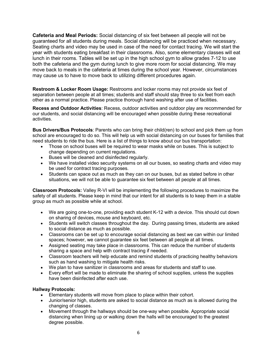**Cafeteria and Meal Periods:** Social distancing of six feet between all people will not be guaranteed for all students during meals. Social distancing will be practiced when necessary. Seating charts and video may be used in case of the need for contact tracing. We will start the year with students eating breakfast in their classrooms. Also, some elementary classes will eat lunch in their rooms. Tables will be set up in the high school gym to allow grades 7-12 to use both the cafeteria and the gym during lunch to give more room for social distancing. We may move back to meals in the cafeteria at times during the school year. However, circumstances may cause us to have to move back to utilizing different procedures again.

**Restroom & Locker Room Usage:** Restrooms and locker rooms may not provide six feet of separation between people at all times; students and staff should stay three to six feet from each other as a normal practice. Please practice thorough hand washing after use of facilities.

**Recess and Outdoor Activities**: Recess, outdoor activities and outdoor play are recommended for our students, and social distancing will be encouraged when possible during these recreational activities.

**Bus Drivers/Bus Protocols**: Parents who can bring their child(ren) to school and pick them up from school are encouraged to do so. This will help us with social distancing on our buses for families that need students to ride the bus. Here is a list of things to know about our bus transportation:

- Those on school buses will be required to wear masks while on buses. This is subject to change depending on current regulations.
- Buses will be cleaned and disinfected regularly.
- We have installed video security systems on all our buses, so seating charts and video may be used for contract tracing purposes.
- Students can space out as much as they can on our buses, but as stated before in other situations, we will not be able to guarantee six feet between all people at all times.

**Classroom Protocols:** Valley R-VI will be implementing the following procedures to maximize the safety of all students. Please keep in mind that our intent for all students is to keep them in a stable group as much as possible while at school.

- We are going one-to-one, providing each student K-12 with a device. This should cut down on sharing of devices, mouse and keyboard, etc.
- Students will switch classes throughout the day. During passing times, students are asked to social distance as much as possible.
- Classrooms can be set up to encourage social distancing as best we can within our limited spaces; however, we cannot guarantee six feet between all people at all times.
- Assigned seating may take place in classrooms. This can reduce the number of students sharing a space and help with contract tracing if needed.
- Classroom teachers will help educate and remind students of practicing healthy behaviors such as hand washing to mitigate health risks.
- We plan to have sanitizer in classrooms and areas for students and staff to use.
- Every effort will be made to eliminate the sharing of school supplies, unless the supplies have been disinfected after each use.

#### **Hallway Protocols:**

- Elementary students will move from place to place within their cohort.
- Junior/senior high, students are asked to social distance as much as is allowed during the changing of classes.
- Movement through the hallways should be one-way when possible. Appropriate social distancing when lining up or walking down the halls will be encouraged to the greatest degree possible.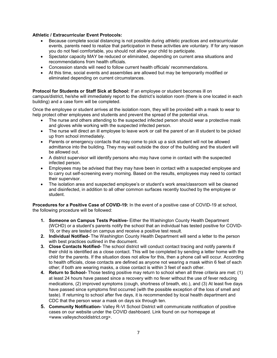#### **Athletic / Extracurricular Event Protocols:**

- Because complete social distancing is not possible during athletic practices and extracurricular events, parents need to realize that participation in these activities are voluntary. If for any reason you do not feel comfortable, you should not allow your child to participate.
- Spectator capacity MAY be reduced or eliminated, depending on current area situations and recommendations from health officials.
- Concession stands will need to follow current health officials' recommendations.
- At this time, social events and assemblies are allowed but may be temporarily modified or eliminated depending on current circumstances.

#### **Protocol for Students or Staff Sick at School:** If an employee or student becomes ill on

campus/district, he/she will immediately report to the district's isolation room (there is one located in each building) and a case form will be completed.

Once the employee or student arrives at the isolation room, they will be provided with a mask to wear to help protect other employees and students and prevent the spread of the potential virus.

- The nurse and others attending to the suspected infected person should wear a protective mask and gloves while working with the suspected infected person.
- The nurse will direct an ill employee to leave work or call the parent of an ill student to be picked up from school immediately.
- Parents or emergency contacts that may come to pick up a sick student will not be allowed admittance into the building. They may wait outside the door of the building and the student will be allowed out.
- A district supervisor will identify persons who may have come in contact with the suspected infected person.
- Employees may be advised that they may have been in contact with a suspected employee and to carry out self-screening every morning. Based on the results, employees may need to contact their supervisor.
- The isolation area and suspected employee's or student's work area/classroom will be cleaned and disinfected, in addition to all other common surfaces recently touched by the employee or student.

**Procedures for a Positive Case of COVID-19:** In the event of a positive case of COVID-19 at school, the following procedure will be followed:

- **1. Someone on Campus Tests Positive-** Either the Washington County Health Department (WCHD) or a student's parents notify the school that an individual has tested positive for COVID-19, or they are tested on campus and receive a positive test result.
- **2. Individual Notified-** The Washington County Health Department will send a letter to the person with best practices outlined in the document.
- **3. Close Contacts Notified-** The school district will conduct contact tracing and notify parents if their child is identified as a close contact. This will be completed by sending a letter home with the child for the parents. If the situation does not allow for this, then a phone call will occur. According to health officials, close contacts are defined as anyone not wearing a mask within 6 feet of each other; if both are wearing masks, a close contact is within 3 feet of each other.
- **4. Return to School-** Those testing positive may return to school when all three criteria are met: (1) at least 24 hours have passed since a recovery with no fever without the use of fever reducing medications, (2) improved symptoms (cough, shortness of breath, etc.), and (3) At least five days have passed since symptoms first occurred (with the possible exception of the loss of smell and taste). If returning to school after five days, it is recommended by local health department and CDC that the person wear a mask on days six through ten.
- **5. Community Notification-** Valley R-VI School District will communicate notification of positive cases on our website under the COVID dashboard. Link found on our homepage at <www.valleyschooldistrict.org>.